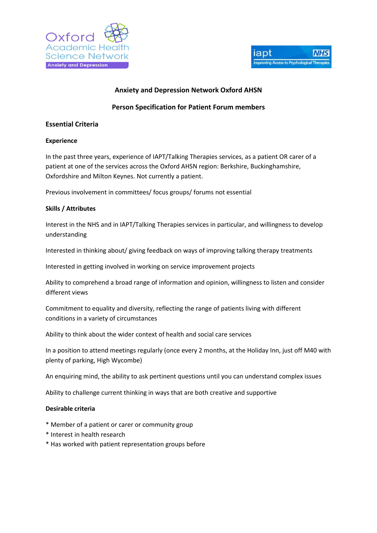



## **Anxiety and Depression Network Oxford AHSN**

# **Person Specification for Patient Forum members**

## **Essential Criteria**

#### **Experience**

In the past three years, experience of IAPT/Talking Therapies services, as a patient OR carer of a patient at one of the services across the Oxford AHSN region: Berkshire, Buckinghamshire, Oxfordshire and Milton Keynes. Not currently a patient.

Previous involvement in committees/ focus groups/ forums not essential

#### **Skills / Attributes**

Interest in the NHS and in IAPT/Talking Therapies services in particular, and willingness to develop understanding

Interested in thinking about/ giving feedback on ways of improving talking therapy treatments

Interested in getting involved in working on service improvement projects

Ability to comprehend a broad range of information and opinion, willingness to listen and consider different views

Commitment to equality and diversity, reflecting the range of patients living with different conditions in a variety of circumstances

Ability to think about the wider context of health and social care services

In a position to attend meetings regularly (once every 2 months, at the Holiday Inn, just off M40 with plenty of parking, High Wycombe)

An enquiring mind, the ability to ask pertinent questions until you can understand complex issues

Ability to challenge current thinking in ways that are both creative and supportive

#### **Desirable criteria**

- \* Member of a patient or carer or community group
- \* Interest in health research
- \* Has worked with patient representation groups before